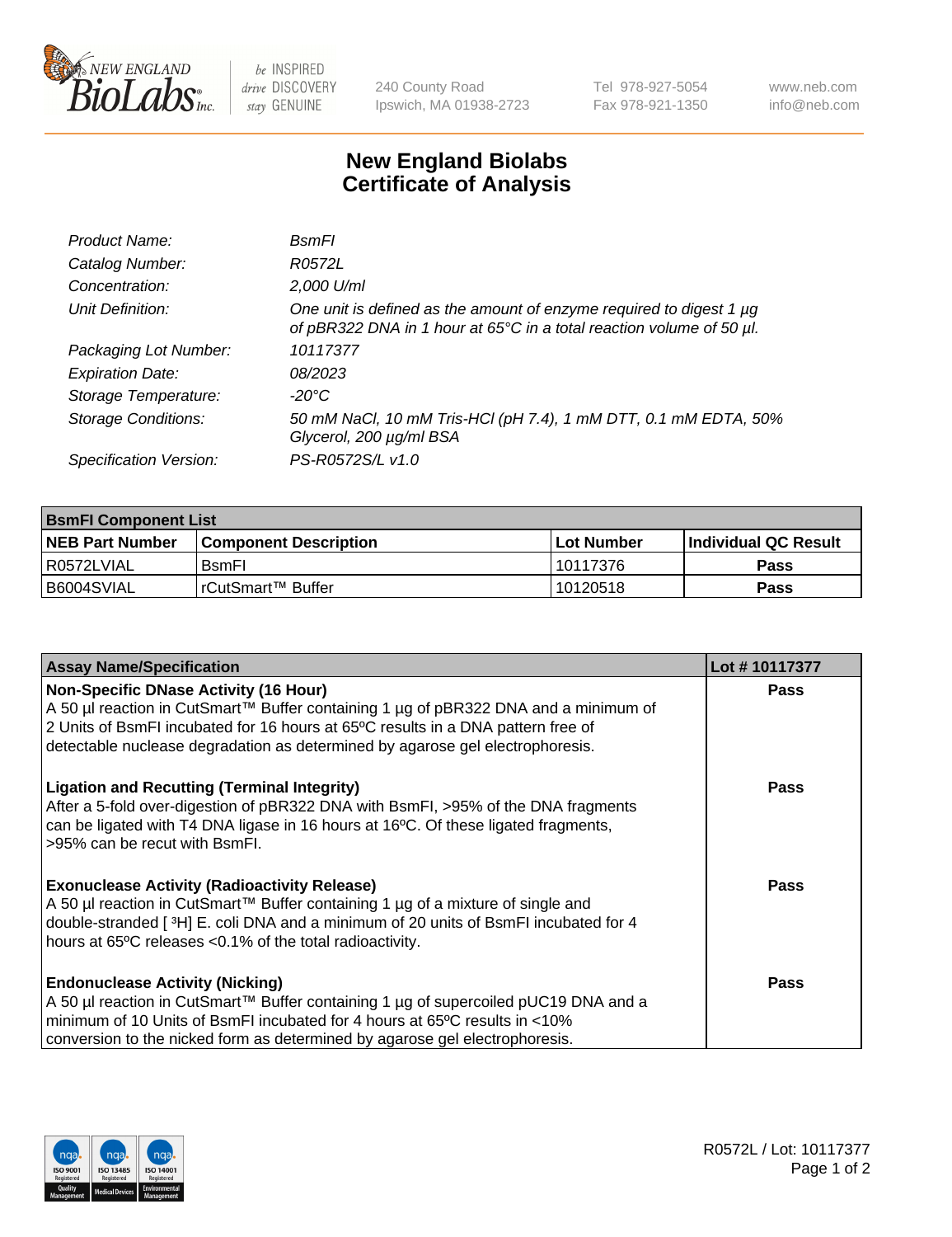

 $be$  INSPIRED drive DISCOVERY stay GENUINE

240 County Road Ipswich, MA 01938-2723 Tel 978-927-5054 Fax 978-921-1350 www.neb.com info@neb.com

## **New England Biolabs Certificate of Analysis**

| Product Name:              | BsmFl                                                                                                                                       |
|----------------------------|---------------------------------------------------------------------------------------------------------------------------------------------|
| Catalog Number:            | R0572L                                                                                                                                      |
| Concentration:             | 2,000 U/ml                                                                                                                                  |
| Unit Definition:           | One unit is defined as the amount of enzyme required to digest 1 µg<br>of pBR322 DNA in 1 hour at 65°C in a total reaction volume of 50 µl. |
| Packaging Lot Number:      | 10117377                                                                                                                                    |
| <b>Expiration Date:</b>    | 08/2023                                                                                                                                     |
| Storage Temperature:       | -20°C                                                                                                                                       |
| <b>Storage Conditions:</b> | 50 mM NaCl, 10 mM Tris-HCl (pH 7.4), 1 mM DTT, 0.1 mM EDTA, 50%<br>Glycerol, 200 µg/ml BSA                                                  |
| Specification Version:     | PS-R0572S/L v1.0                                                                                                                            |

| <b>BsmFI Component List</b> |                         |              |                             |  |
|-----------------------------|-------------------------|--------------|-----------------------------|--|
| <b>NEB Part Number</b>      | l Component Description | l Lot Number | <b>Individual QC Result</b> |  |
| I R0572LVIAL                | <b>B</b> smFI           | l 10117376   | Pass                        |  |
| B6004SVIAL                  | l rCutSmart™ Buffer_    | 10120518     | Pass                        |  |

| <b>Assay Name/Specification</b>                                                                                                                                                                                                                                                                          | Lot #10117377 |
|----------------------------------------------------------------------------------------------------------------------------------------------------------------------------------------------------------------------------------------------------------------------------------------------------------|---------------|
| <b>Non-Specific DNase Activity (16 Hour)</b><br>A 50 µl reaction in CutSmart™ Buffer containing 1 µg of pBR322 DNA and a minimum of<br>2 Units of BsmFI incubated for 16 hours at 65°C results in a DNA pattern free of<br>detectable nuclease degradation as determined by agarose gel electrophoresis. | <b>Pass</b>   |
| <b>Ligation and Recutting (Terminal Integrity)</b><br>After a 5-fold over-digestion of pBR322 DNA with BsmFI, >95% of the DNA fragments<br>can be ligated with T4 DNA ligase in 16 hours at 16°C. Of these ligated fragments,<br>>95% can be recut with BsmFI.                                           | Pass          |
| <b>Exonuclease Activity (Radioactivity Release)</b><br>A 50 µl reaction in CutSmart™ Buffer containing 1 µg of a mixture of single and<br>double-stranded [3H] E. coli DNA and a minimum of 20 units of BsmFI incubated for 4<br>hours at 65°C releases <0.1% of the total radioactivity.                | Pass          |
| <b>Endonuclease Activity (Nicking)</b><br>A 50 µl reaction in CutSmart™ Buffer containing 1 µg of supercoiled pUC19 DNA and a<br>minimum of 10 Units of BsmFI incubated for 4 hours at 65 <sup>o</sup> C results in <10%<br>conversion to the nicked form as determined by agarose gel electrophoresis.  | Pass          |